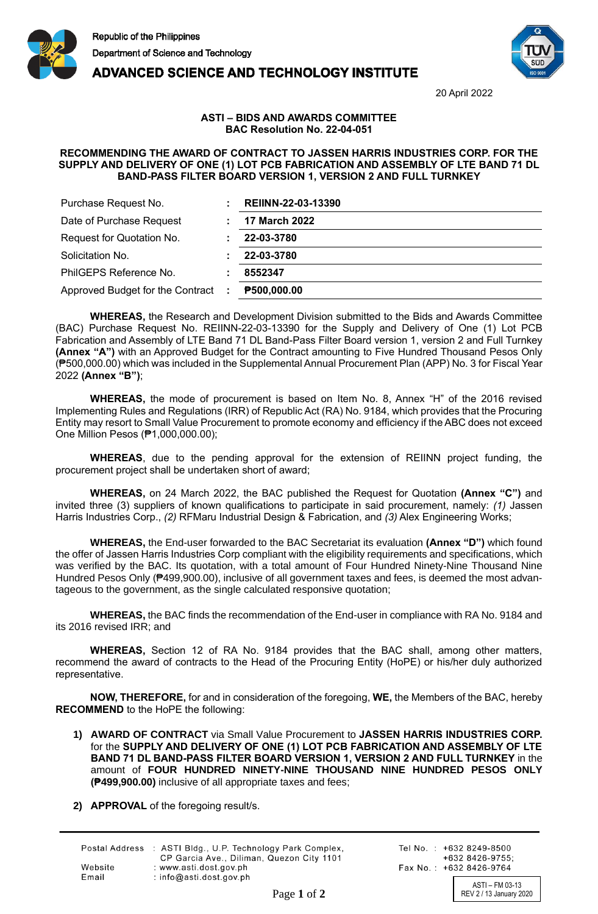



**ADVANCED SCIENCE AND TECHNOLOGY INSTITUTE** 

20 April 2022

## **ASTI – BIDS AND AWARDS COMMITTEE BAC Resolution No. 22-04-051**

## **RECOMMENDING THE AWARD OF CONTRACT TO JASSEN HARRIS INDUSTRIES CORP. FOR THE SUPPLY AND DELIVERY OF ONE (1) LOT PCB FABRICATION AND ASSEMBLY OF LTE BAND 71 DL BAND-PASS FILTER BOARD VERSION 1, VERSION 2 AND FULL TURNKEY**

| Purchase Request No.                  | REIINN-22-03-13390   |
|---------------------------------------|----------------------|
| Date of Purchase Request              | <b>17 March 2022</b> |
| Request for Quotation No.             | 22-03-3780           |
| Solicitation No.                      | 22-03-3780           |
| PhilGEPS Reference No.                | 8552347              |
| Approved Budget for the Contract<br>÷ | P500,000.00          |

**WHEREAS,** the Research and Development Division submitted to the Bids and Awards Committee (BAC) Purchase Request No. REIINN-22-03-13390 for the Supply and Delivery of One (1) Lot PCB Fabrication and Assembly of LTE Band 71 DL Band-Pass Filter Board version 1, version 2 and Full Turnkey **(Annex "A")** with an Approved Budget for the Contract amounting to Five Hundred Thousand Pesos Only (₱500,000.00) which was included in the Supplemental Annual Procurement Plan (APP) No. 3 for Fiscal Year 2022 **(Annex "B")**;

**WHEREAS,** the mode of procurement is based on Item No. 8, Annex "H" of the 2016 revised Implementing Rules and Regulations (IRR) of Republic Act (RA) No. 9184, which provides that the Procuring Entity may resort to Small Value Procurement to promote economy and efficiency if the ABC does not exceed One Million Pesos (₱1,000,000.00);

**WHEREAS**, due to the pending approval for the extension of REIINN project funding, the procurement project shall be undertaken short of award;

**WHEREAS,** on 24 March 2022, the BAC published the Request for Quotation **(Annex "C")** and invited three (3) suppliers of known qualifications to participate in said procurement, namely: *(1)* Jassen Harris Industries Corp., *(2)* RFMaru Industrial Design & Fabrication, and *(3)* Alex Engineering Works;

**WHEREAS,** the End-user forwarded to the BAC Secretariat its evaluation **(Annex "D")** which found the offer of Jassen Harris Industries Corp compliant with the eligibility requirements and specifications, which was verified by the BAC. Its quotation, with a total amount of Four Hundred Ninety-Nine Thousand Nine Hundred Pesos Only (₱499,900.00), inclusive of all government taxes and fees, is deemed the most advantageous to the government, as the single calculated responsive quotation;

**WHEREAS,** the BAC finds the recommendation of the End-user in compliance with RA No. 9184 and its 2016 revised IRR; and

**WHEREAS,** Section 12 of RA No. 9184 provides that the BAC shall, among other matters, recommend the award of contracts to the Head of the Procuring Entity (HoPE) or his/her duly authorized representative.

**NOW, THEREFORE,** for and in consideration of the foregoing, **WE,** the Members of the BAC, hereby **RECOMMEND** to the HoPE the following:

- **1) AWARD OF CONTRACT** via Small Value Procurement to **JASSEN HARRIS INDUSTRIES CORP.** for the **SUPPLY AND DELIVERY OF ONE (1) LOT PCB FABRICATION AND ASSEMBLY OF LTE BAND 71 DL BAND-PASS FILTER BOARD VERSION 1, VERSION 2 AND FULL TURNKEY** in the amount of **FOUR HUNDRED NINETY-NINE THOUSAND NINE HUNDRED PESOS ONLY (₱499,900.00)** inclusive of all appropriate taxes and fees;
- **2) APPROVAL** of the foregoing result/s.

|         | Postal Address : ASTI Bldg., U.P. Technology Park Complex, |
|---------|------------------------------------------------------------|
|         | CP Garcia Ave., Diliman, Quezon City 1101                  |
| Website | : www.asti.dost.gov.ph                                     |
| Email   | $:$ info@asti.dost.gov.ph                                  |